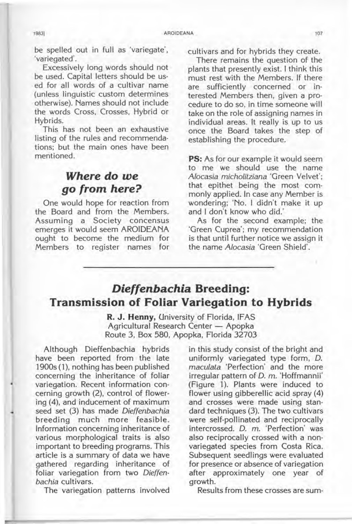be spelled out in full as 'variegate', 'variegated'.

Excessively long words should not be used. Capital letters should be used for all words of a cultivar name (unless linguistic custom determines otherwise). Names should not include the words Cross, Crosses, Hybrid or Hybrids.

This has not been an exhaustive listing of the rules and recommendations; but the main ones have been mentioned.

## **Where do we go from here?**

One would hope for reaction from the Board and from the Members. Assuming a Society concensus emerges it would seem AROIDEANA ought to become the medium for Members to register names for cultivars and for hybrids they create.

There remains the question of the plants that presently exist. I think this must rest with the Members. If there are sufficiently concerned or interested Members then, given a procedure to do so, in time someone will take on the role of assigning names in individual areas. It really is up to us once the Board takes the step of establishing the procedure.

**PS:** As for our example it would seem to me we should use the name ALocasia micholitziana 'Green Velvet'; that epithet being the most commonly applied. In case any Member is wondering; 'No. I didn't make it up and I don't know who did.'

As for the second example; the 'Green Cuprea'; my recommendation is that until further notice we assign it the name Alocasia 'Green Shield'.

## **Dieffenbachia Breeding: Transmission of Foliar Variegation to Hybrids**

**R. J. Henny,** University of Florida, IF AS Agricultural Research Center - Apopka Route 3, Box 580, Apopka, Florida 32703

Although Dieffenbachia hybrids have been reported from the late 1900s (1), nothing has been published concerning the inheritance of foliar variegation. Recent information concerning growth (2), control of flowering (4), and inducement of maximum seed set (3) has made Dieffenbachia breeding much more feasible. Information concerning inheritance of various morphological traits is also important to breeding programs. This article is a summary of data we have gathered regarding inheritance of foliar variegation from two Dieffenbachia cultivars.

The variegation patterns involved

in this study consist of the bright and uniformly variegated type form, D. maculata 'Perfection' and the more irregular pattern of D. m. 'Hoffmannii' (Figure 1). Plants were induced to flower using gibberellic acid spray (4) and crosses were made using standard techniques (3). The two cultivars were self-pollinated and reciprocally intercrossed. D. m. 'Perfection' was also reciprocally crossed with a nonvariegated species from Costa Rica. Subsequent seedlings were evaluated for presence or absence of variegation after approximately one year of growth.

Results from these crosses are sum-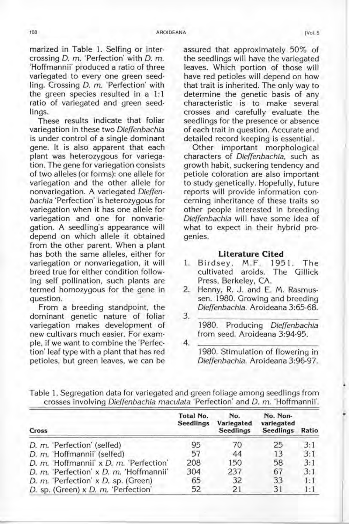marized in Table 1. Selfing or intercrossing D. m. 'Perfection' with D. m. 'Hoffmannii' produced a ratio of three variegated to every one green seedling. Crossing D. m. 'Perfection' with the green species resulted in a  $1:1$ ratio of variegated and green seedlings.

These results indicate that foliar variegation in these two Dieffenbachia is under control of a single dominant gene. It is also apparent that each plant was heterozygous for variegation. The gene for variegation consists of two alleles (or forms): one allele for variegation and the other allele for nonvariegation. A variegated Dieffenbachia 'Perfection' is heterozygous for variegation when it has one allele for variegation and one for nonvariegation. A seedling's appearance will depend on which allele it obtained from the other parent. When a plant has both the same alleles, either for variegation or nonvariegation, it will breed true for either condition following self pollination, such plants are termed homozygous for the gene in question.

From a breeding standpoint, the dominant genetic nature of foliar variegation makes development of new cultivars much easier. For example, if we want to combine the 'Perfection' leaf type with a plant that has red petioles, but green leaves, we can be

assured that approximately 50% of the seedlings will have the variegated leaves. Which portion of those will have red petioles will depend on how that trait is inherited. The only way to determine the genetic basis of any characteristic is to make several crosses and carefully evaluate the seedlings for the presence or absence of each trait in question. Accurate and detailed record keeping is essential.

Other important morphological characters of Dieffenbachia, such as growth habit, suckering tendency and petiole coloration are also important to study genetically. Hopefully, future reports will provide information concerning inheritance of these traits so \ other people interested in breeding Dieffenbachia will have some idea of what to expect in their hybrid progenies.

## **Literature Cited**

- 1. Birdsey, M .F. 1951. The cultivated aroids. The Gillick Press, Berkeley, CA.
- 2. Henny, R. J. and E. M. Rasmussen. 1980. Growing and breeding Dieffenbachia. Aroideana 3:65-68. 3.
- 1980. Producing Dieffenbachia from seed. Aroideana 3:94-95.
- 4. 1980. Stimulation of flowering in Dieffenbachia. Aroideana 3:96-97.

.

Table 1. Segregation data for variegated and green foliage among seedlings from crosses involving Dieffenbachia maculata 'Perfection' and D. m. 'Hoffmannii'.

| Cross                                   | Total No.<br><b>Seedlings</b> | No.<br>Variegated<br><b>Seedlings</b> | No. Non-<br>variegated<br><b>Seedlings</b> | Ratio |
|-----------------------------------------|-------------------------------|---------------------------------------|--------------------------------------------|-------|
| D. m. 'Perfection' (selfed)             | 95                            | 70                                    | 25                                         | 3:1   |
| D. m. 'Hoffmannii' (selfed)             | 57                            | 44                                    | 13                                         | 3:1   |
| D. m. 'Hoffmannii' x D. m. 'Perfection' | 208                           | 150                                   | 58                                         | 3:1   |
| D. m. 'Perfection' x D. m. 'Hoffmannii' | 304                           | 237                                   | 67                                         | 3:1   |
| D. m. 'Perfection' x D. sp. (Green)     | 65                            | 32                                    | 33                                         | 1:1   |
| D. sp. (Green) x D. m. 'Perfection'     | 52                            | 21                                    | 31                                         | 1:1   |